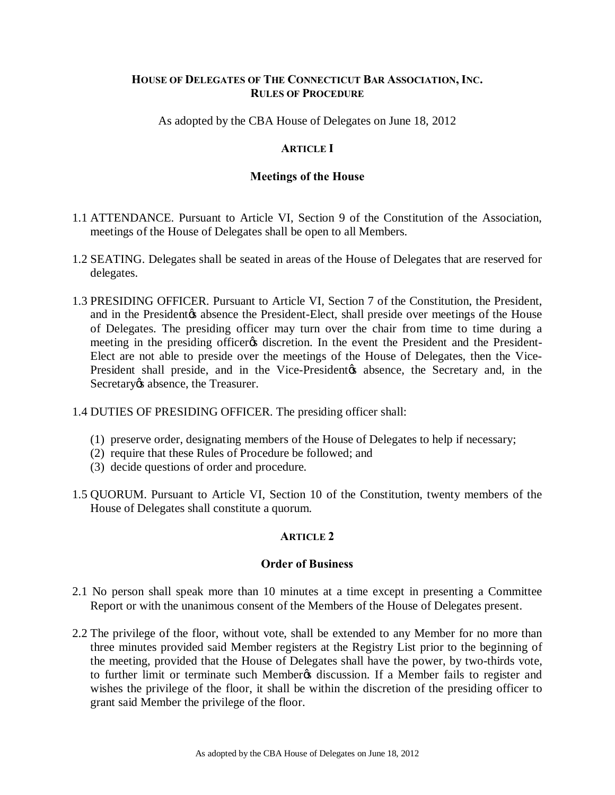# **HOUSE OF DELEGATES OF THE CONNECTICUT BAR ASSOCIATION, INC. RULES OF PROCEDURE**

As adopted by the CBA House of Delegates on June 18, 2012

# **ARTICLE I**

# **Meetings of the House**

- 1.1 ATTENDANCE. Pursuant to Article VI, Section 9 of the Constitution of the Association, meetings of the House of Delegates shall be open to all Members.
- 1.2 SEATING. Delegates shall be seated in areas of the House of Delegates that are reserved for delegates.
- 1.3 PRESIDING OFFICER. Pursuant to Article VI, Section 7 of the Constitution, the President, and in the President $\alpha$  absence the President-Elect, shall preside over meetings of the House of Delegates. The presiding officer may turn over the chair from time to time during a meeting in the presiding officer as discretion. In the event the President and the President-Elect are not able to preside over the meetings of the House of Delegates, then the Vice-President shall preside, and in the Vice-President to absence, the Secretary and, in the Secretary *o*s absence, the Treasurer.
- 1.4 DUTIES OF PRESIDING OFFICER. The presiding officer shall:
	- (1) preserve order, designating members of the House of Delegates to help if necessary;
	- (2) require that these Rules of Procedure be followed; and
	- (3) decide questions of order and procedure.
- 1.5 QUORUM. Pursuant to Article VI, Section 10 of the Constitution, twenty members of the House of Delegates shall constitute a quorum.

# **ARTICLE 2**

#### **Order of Business**

- 2.1 No person shall speak more than 10 minutes at a time except in presenting a Committee Report or with the unanimous consent of the Members of the House of Delegates present.
- 2.2 The privilege of the floor, without vote, shall be extended to any Member for no more than three minutes provided said Member registers at the Registry List prior to the beginning of the meeting, provided that the House of Delegates shall have the power, by two-thirds vote, to further limit or terminate such Member & discussion. If a Member fails to register and wishes the privilege of the floor, it shall be within the discretion of the presiding officer to grant said Member the privilege of the floor.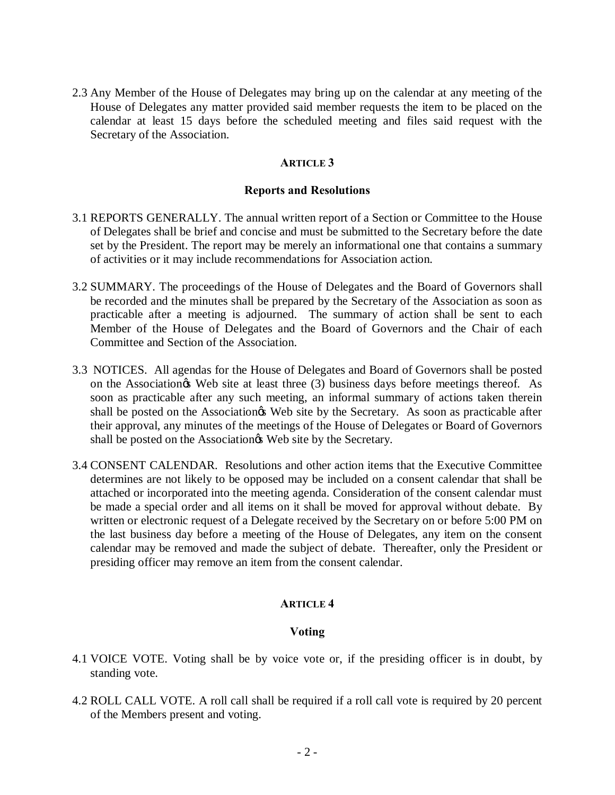2.3 Any Member of the House of Delegates may bring up on the calendar at any meeting of the House of Delegates any matter provided said member requests the item to be placed on the calendar at least 15 days before the scheduled meeting and files said request with the Secretary of the Association.

### **ARTICLE 3**

### **Reports and Resolutions**

- 3.1 REPORTS GENERALLY. The annual written report of a Section or Committee to the House of Delegates shall be brief and concise and must be submitted to the Secretary before the date set by the President. The report may be merely an informational one that contains a summary of activities or it may include recommendations for Association action.
- 3.2 SUMMARY. The proceedings of the House of Delegates and the Board of Governors shall be recorded and the minutes shall be prepared by the Secretary of the Association as soon as practicable after a meeting is adjourned. The summary of action shall be sent to each Member of the House of Delegates and the Board of Governors and the Chair of each Committee and Section of the Association.
- 3.3 NOTICES. All agendas for the House of Delegates and Board of Governors shall be posted on the Association<sub>os</sub> Web site at least three (3) business days before meetings thereof. As soon as practicable after any such meeting, an informal summary of actions taken therein shall be posted on the Association the Web site by the Secretary. As soon as practicable after their approval, any minutes of the meetings of the House of Delegates or Board of Governors shall be posted on the Association is Web site by the Secretary.
- 3.4 CONSENT CALENDAR. Resolutions and other action items that the Executive Committee determines are not likely to be opposed may be included on a consent calendar that shall be attached or incorporated into the meeting agenda. Consideration of the consent calendar must be made a special order and all items on it shall be moved for approval without debate. By written or electronic request of a Delegate received by the Secretary on or before 5:00 PM on the last business day before a meeting of the House of Delegates, any item on the consent calendar may be removed and made the subject of debate. Thereafter, only the President or presiding officer may remove an item from the consent calendar.

# **ARTICLE 4**

# **Voting**

- 4.1 VOICE VOTE. Voting shall be by voice vote or, if the presiding officer is in doubt, by standing vote.
- 4.2 ROLL CALL VOTE. A roll call shall be required if a roll call vote is required by 20 percent of the Members present and voting.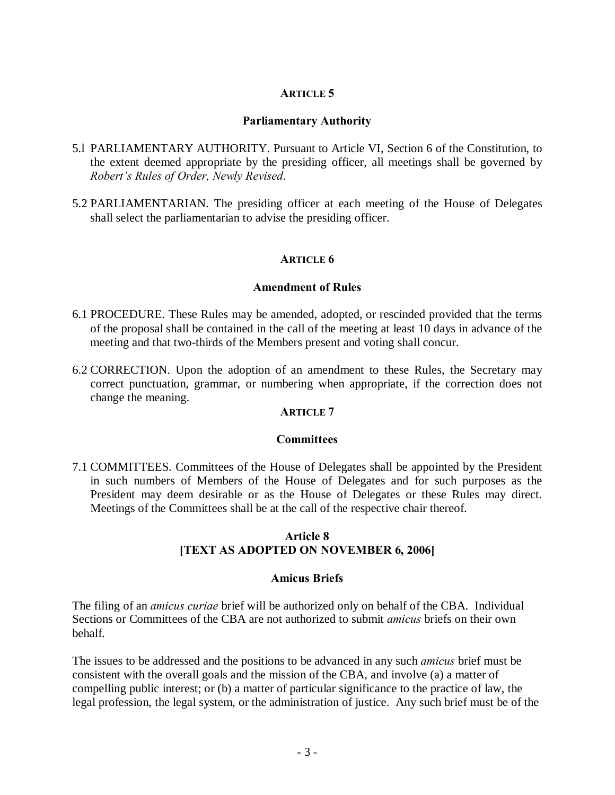# **ARTICLE 5**

### **Parliamentary Authority**

- 5.l PARLIAMENTARY AUTHORITY. Pursuant to Article VI, Section 6 of the Constitution, to the extent deemed appropriate by the presiding officer, all meetings shall be governed by *Robert's Rules of Order, Newly Revised*.
- 5.2 PARLIAMENTARIAN. The presiding officer at each meeting of the House of Delegates shall select the parliamentarian to advise the presiding officer.

### **ARTICLE 6**

#### **Amendment of Rules**

- 6.1 PROCEDURE. These Rules may be amended, adopted, or rescinded provided that the terms of the proposal shall be contained in the call of the meeting at least 10 days in advance of the meeting and that two-thirds of the Members present and voting shall concur.
- 6.2 CORRECTION. Upon the adoption of an amendment to these Rules, the Secretary may correct punctuation, grammar, or numbering when appropriate, if the correction does not change the meaning.

### **ARTICLE 7**

#### **Committees**

7.1 COMMITTEES. Committees of the House of Delegates shall be appointed by the President in such numbers of Members of the House of Delegates and for such purposes as the President may deem desirable or as the House of Delegates or these Rules may direct. Meetings of the Committees shall be at the call of the respective chair thereof.

# **Article 8 [TEXT AS ADOPTED ON NOVEMBER 6, 2006]**

#### **Amicus Briefs**

The filing of an *amicus curiae* brief will be authorized only on behalf of the CBA. Individual Sections or Committees of the CBA are not authorized to submit *amicus* briefs on their own behalf.

The issues to be addressed and the positions to be advanced in any such *amicus* brief must be consistent with the overall goals and the mission of the CBA, and involve (a) a matter of compelling public interest; or (b) a matter of particular significance to the practice of law, the legal profession, the legal system, or the administration of justice. Any such brief must be of the